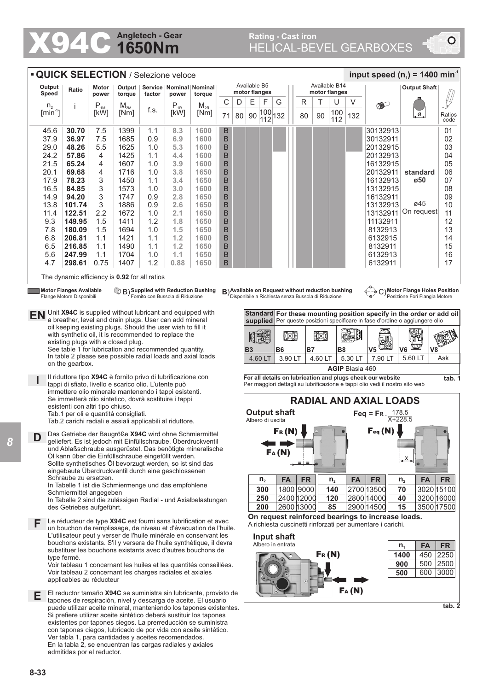## **1650Nm Angletech - Gear**

## Rating - Cast iron<br>
HELICAL-BEVEL GEARBOXES

| input speed ( $n_1$ ) = 1400 min <sup>-1</sup><br><b>QUICK SELECTION / Selezione veloce</b>                                                                                                                                                                                                                                                                                                   |                                                              |                 |                            |                                               |                                                         |                                                           |              |        |     |                                                                                                                                                                              |                                                                                                |                     |                                |            |       |            |            |                                                                                                                                                      |                      |                |                |  |  |  |
|-----------------------------------------------------------------------------------------------------------------------------------------------------------------------------------------------------------------------------------------------------------------------------------------------------------------------------------------------------------------------------------------------|--------------------------------------------------------------|-----------------|----------------------------|-----------------------------------------------|---------------------------------------------------------|-----------------------------------------------------------|--------------|--------|-----|------------------------------------------------------------------------------------------------------------------------------------------------------------------------------|------------------------------------------------------------------------------------------------|---------------------|--------------------------------|------------|-------|------------|------------|------------------------------------------------------------------------------------------------------------------------------------------------------|----------------------|----------------|----------------|--|--|--|
| Output<br>Ratio<br>Speed                                                                                                                                                                                                                                                                                                                                                                      |                                                              |                 | Motor<br>power             | torque                                        | Output   Service   Nominal   Nominal<br>factor<br>power |                                                           | torque       |        |     | Available B5<br>motor flanges                                                                                                                                                |                                                                                                |                     | Available B14<br>motor flanges |            |       |            |            |                                                                                                                                                      | <b>Output Shaft</b>  |                |                |  |  |  |
| $n_{2}$                                                                                                                                                                                                                                                                                                                                                                                       |                                                              | Î.              | $P_{1M}$                   | $M_{2M}$                                      |                                                         | $P_{1R}$                                                  | $M_{2R}$     | С      | D   | E                                                                                                                                                                            | F                                                                                              | G                   |                                | R          | Т     | U          | V          |                                                                                                                                                      |                      |                |                |  |  |  |
| $[min^{-1}]$                                                                                                                                                                                                                                                                                                                                                                                  |                                                              |                 | [kW]                       | [Nm]                                          | f.s.                                                    | [kW]                                                      | [Nm]         | 71     | 80  | 90                                                                                                                                                                           | 100<br>112                                                                                     | 132                 |                                | 80         | 90    | 100<br>112 | 132        |                                                                                                                                                      | Ø.                   |                | Ratios<br>code |  |  |  |
| 45.6                                                                                                                                                                                                                                                                                                                                                                                          |                                                              | 30.70           | 7.5                        | 1399                                          | 1.1                                                     | 8.3                                                       | 1600         | B      |     |                                                                                                                                                                              |                                                                                                |                     |                                |            |       |            |            | 30132913                                                                                                                                             |                      |                | 01             |  |  |  |
| 37.9                                                                                                                                                                                                                                                                                                                                                                                          |                                                              | 36.97           | 7.5                        | 1685                                          | 0.9                                                     | 6.9                                                       | 1600         | B      |     |                                                                                                                                                                              |                                                                                                |                     |                                |            |       |            |            | 30132911                                                                                                                                             |                      |                | 02             |  |  |  |
| 29.0                                                                                                                                                                                                                                                                                                                                                                                          |                                                              | 48.26           | 5.5                        | 1625                                          | 1.0                                                     | 5.3                                                       | 1600         | B      |     |                                                                                                                                                                              |                                                                                                |                     |                                |            |       |            |            | 20132915                                                                                                                                             |                      |                | 03             |  |  |  |
| 24.2                                                                                                                                                                                                                                                                                                                                                                                          |                                                              | 57.86           | 4                          | 1425                                          | 1.1                                                     | 4.4                                                       | 1600         | B      |     |                                                                                                                                                                              |                                                                                                |                     |                                |            |       |            |            | 20132913                                                                                                                                             |                      |                | 04             |  |  |  |
| 21.5                                                                                                                                                                                                                                                                                                                                                                                          |                                                              | 65.24           | 4                          | 1607                                          | 1.0                                                     | 3.9                                                       | 1600         | B      |     |                                                                                                                                                                              |                                                                                                |                     |                                |            |       |            |            | 16132915                                                                                                                                             |                      |                | 05             |  |  |  |
| 20.1                                                                                                                                                                                                                                                                                                                                                                                          |                                                              | 69.68<br>78.23  | 4                          | 1716<br>1450                                  | 1.0                                                     | 3.8                                                       | 1650<br>1650 | B      |     |                                                                                                                                                                              |                                                                                                |                     |                                |            |       |            |            | 20132911                                                                                                                                             | standard<br>ø50      |                | 06<br>07       |  |  |  |
| 17.9<br>16.5                                                                                                                                                                                                                                                                                                                                                                                  |                                                              | 84.85           | 3<br>3                     | 1573                                          | 1.1<br>1.0                                              | 3.4<br>3.0                                                | 1600         | B<br>B |     |                                                                                                                                                                              |                                                                                                |                     |                                |            |       |            |            | 16132913<br>13132915                                                                                                                                 |                      |                | 08             |  |  |  |
| 14.9                                                                                                                                                                                                                                                                                                                                                                                          |                                                              | 94.20           | 3                          | 1747                                          | 0.9                                                     | 2.8                                                       | 1650         | B      |     |                                                                                                                                                                              |                                                                                                |                     |                                |            |       |            |            | 16132911                                                                                                                                             |                      |                | 09             |  |  |  |
| 13.8                                                                                                                                                                                                                                                                                                                                                                                          |                                                              | 101.74          | 3                          | 1886                                          | 0.9                                                     | 2.6                                                       | 1650         | B      |     |                                                                                                                                                                              |                                                                                                |                     |                                |            |       |            |            | 13132913                                                                                                                                             | ø45                  |                | 10             |  |  |  |
| 11.4                                                                                                                                                                                                                                                                                                                                                                                          |                                                              | 122.51          | 2.2                        | 1672                                          | 1.0                                                     | 2.1                                                       | 1650         | B      |     |                                                                                                                                                                              |                                                                                                |                     |                                |            |       |            |            | 13132911                                                                                                                                             | On request           |                | 11             |  |  |  |
| 9.3                                                                                                                                                                                                                                                                                                                                                                                           |                                                              | 149.95          | 1.5                        | 1411                                          | 1.2                                                     | 1.8                                                       | 1650         | B      |     |                                                                                                                                                                              |                                                                                                |                     |                                |            |       |            |            | 11132911                                                                                                                                             |                      |                | 12             |  |  |  |
| 7.8                                                                                                                                                                                                                                                                                                                                                                                           |                                                              | 180.09          | 1.5                        | 1694                                          | 1.0                                                     | 1.5                                                       | 1650         | B      |     |                                                                                                                                                                              |                                                                                                |                     |                                |            |       |            |            | 8132913                                                                                                                                              |                      |                | 13             |  |  |  |
| 6.8                                                                                                                                                                                                                                                                                                                                                                                           |                                                              | 206.81          | 1.1                        | 1421                                          | 1.1                                                     | 1.2                                                       | 1600         | B      |     |                                                                                                                                                                              |                                                                                                |                     |                                |            |       |            |            | 6132915                                                                                                                                              |                      |                | 14             |  |  |  |
| 6.5                                                                                                                                                                                                                                                                                                                                                                                           |                                                              | 216.85          | 1.1                        | 1490                                          | 1.1                                                     | 1.2                                                       | 1650         | B      |     |                                                                                                                                                                              |                                                                                                |                     |                                |            |       |            |            | 8132911                                                                                                                                              |                      |                | 15             |  |  |  |
| 5.6                                                                                                                                                                                                                                                                                                                                                                                           |                                                              | 247.99          | 1.1                        | 1704                                          | 1.0                                                     | 1.1                                                       | 1650         | B      |     |                                                                                                                                                                              |                                                                                                |                     |                                |            |       |            |            | 6132913                                                                                                                                              |                      |                | 16             |  |  |  |
| 4.7                                                                                                                                                                                                                                                                                                                                                                                           |                                                              | 298.61          | 0.75                       | 1407                                          | 1.2                                                     | 0.88                                                      | 1650         | B      |     |                                                                                                                                                                              |                                                                                                |                     |                                |            |       |            |            | 6132911                                                                                                                                              |                      |                | 17             |  |  |  |
|                                                                                                                                                                                                                                                                                                                                                                                               |                                                              |                 |                            | The dynamic efficiency is 0.92 for all ratios |                                                         |                                                           |              |        |     |                                                                                                                                                                              |                                                                                                |                     |                                |            |       |            |            |                                                                                                                                                      |                      |                |                |  |  |  |
| <b>Motor Flanges Available</b><br><sup>1</sup> B) Supplied with Reduction Bushing<br>Fornito con Bussola di Riduzione<br>B) Available on Request without reduction bushing<br>C) Motor Flange Holes Position<br>Disponibile a Richiesta senza Bussola di Riduzione<br>Posizione Fori Flangia Motore<br>Flange Motore Disponibili                                                              |                                                              |                 |                            |                                               |                                                         |                                                           |              |        |     |                                                                                                                                                                              |                                                                                                |                     |                                |            |       |            |            |                                                                                                                                                      |                      |                |                |  |  |  |
| EN                                                                                                                                                                                                                                                                                                                                                                                            |                                                              |                 |                            |                                               |                                                         | Unit X94C is supplied without lubricant and equipped with |              |        |     |                                                                                                                                                                              |                                                                                                |                     |                                |            |       |            |            | Standard For these mounting position specify in the order or add oil<br>supplied Per queste posizioni specificare in fase d'ordine o aggiungere olio |                      |                |                |  |  |  |
| a breather, level and drain plugs. User can add mineral<br>oil keeping existing plugs. Should the user wish to fill it                                                                                                                                                                                                                                                                        |                                                              |                 |                            |                                               |                                                         |                                                           |              |        |     |                                                                                                                                                                              |                                                                                                |                     |                                |            |       |            |            |                                                                                                                                                      |                      |                |                |  |  |  |
| with synthetic oil, it is recommended to replace the<br>existing plugs with a closed plug.                                                                                                                                                                                                                                                                                                    |                                                              |                 |                            |                                               |                                                         |                                                           |              |        |     |                                                                                                                                                                              |                                                                                                | (O)                 |                                | 10)        |       |            |            |                                                                                                                                                      |                      |                |                |  |  |  |
|                                                                                                                                                                                                                                                                                                                                                                                               |                                                              |                 |                            |                                               |                                                         |                                                           |              |        |     | <b>B3</b>                                                                                                                                                                    |                                                                                                | B6                  |                                | <b>B7</b>  |       | <b>B8</b>  |            | V <sub>5</sub>                                                                                                                                       | щ<br>V6              | V <sub>8</sub> |                |  |  |  |
| See table 1 for lubrication and recommended quantity.<br>In table 2 please see possible radial loads and axial loads                                                                                                                                                                                                                                                                          |                                                              |                 |                            |                                               |                                                         |                                                           |              |        |     | 4.60 LT                                                                                                                                                                      | 3.90 LT                                                                                        |                     |                                | 4.60 LT    |       | 5.30 LT    | 7.90 LT    | 5.60 LT                                                                                                                                              | Ask                  |                |                |  |  |  |
|                                                                                                                                                                                                                                                                                                                                                                                               |                                                              | on the gearbox. |                            |                                               |                                                         |                                                           |              |        |     |                                                                                                                                                                              |                                                                                                |                     |                                |            |       |            |            |                                                                                                                                                      |                      |                |                |  |  |  |
|                                                                                                                                                                                                                                                                                                                                                                                               | Il riduttore tipo X94C è fornito privo di lubrificazione con |                 |                            |                                               |                                                         |                                                           |              |        |     |                                                                                                                                                                              | <b>AGIP Blasia 460</b><br>For all details on lubrication and plugs check our website<br>tab. 1 |                     |                                |            |       |            |            |                                                                                                                                                      |                      |                |                |  |  |  |
| tappi di sfiato, livello e scarico olio. L'utente può<br>immettere olio minerale mantenendo i tappi esistenti.<br>Se immetterà olio sintetico, dovrà sostituire i tappi<br>esistenti con altri tipo chiuso.<br>Tab.1 per oli e quantità consigliati.<br>Tab.2 carichi radiali e assiali applicabili al riduttore.                                                                             |                                                              |                 |                            |                                               |                                                         |                                                           |              |        |     |                                                                                                                                                                              |                                                                                                |                     |                                |            |       |            |            | Per maggiori dettagli su lubrificazione e tappi olio vedi il nostro sito web                                                                         |                      |                |                |  |  |  |
|                                                                                                                                                                                                                                                                                                                                                                                               |                                                              |                 |                            |                                               |                                                         |                                                           |              |        |     |                                                                                                                                                                              |                                                                                                |                     |                                |            |       |            |            | <b>RADIAL AND AXIAL LOADS</b>                                                                                                                        |                      |                |                |  |  |  |
|                                                                                                                                                                                                                                                                                                                                                                                               |                                                              |                 |                            |                                               |                                                         |                                                           |              |        |     |                                                                                                                                                                              | Albero di uscita                                                                               | <b>Output shaft</b> |                                |            |       |            |            | Feq = FR $\frac{178.5}{X+228.5}$                                                                                                                     |                      |                |                |  |  |  |
| Das Getriebe der Baugröße X94C wird ohne Schmiermittel<br>D<br>geliefert. Es ist jedoch mit Einfüllschraube, Überdruckventil<br>und Ablaßschraube ausgerüstet. Das benötigte mineralische<br>Öl kann über die Einfüllschraube eingefüllt werden.<br>Sollte synthetisches Öl bevorzugt werden, so ist sind das<br>eingebaute Überdruckventil durch eine geschlossenen<br>Schraube zu ersetzen. |                                                              |                 |                            |                                               |                                                         |                                                           |              |        |     | $F_R(M)$<br>$Feq$ (N)<br>FA(N)<br>$\equiv$<br>$\equiv$<br><b>FR</b><br>$n_{2}$<br><b>FA</b><br><b>FR</b><br><b>FA</b><br><b>FA</b><br><b>FR</b><br>n <sub>2</sub><br>$n_{2}$ |                                                                                                |                     |                                |            |       |            |            |                                                                                                                                                      |                      |                |                |  |  |  |
| In Tabelle 1 ist die Schmiermenge und das empfohlene<br>Schmiermittel angegeben                                                                                                                                                                                                                                                                                                               |                                                              |                 |                            |                                               |                                                         |                                                           |              |        | 300 |                                                                                                                                                                              |                                                                                                | 1800 9000           |                                | 140        |       | 2700 13500 | 70         | 3020 15100                                                                                                                                           |                      |                |                |  |  |  |
| In Tabelle 2 sind die zulässigen Radial - und Axialbelastungen                                                                                                                                                                                                                                                                                                                                |                                                              |                 |                            |                                               |                                                         |                                                           |              |        |     | 250                                                                                                                                                                          |                                                                                                |                     | 2400 12000                     |            | 120   |            | 2800 14000 | 40                                                                                                                                                   | 3200 16000           |                |                |  |  |  |
| des Getriebes aufgeführt.                                                                                                                                                                                                                                                                                                                                                                     |                                                              |                 |                            |                                               |                                                         |                                                           |              |        |     |                                                                                                                                                                              | 200                                                                                            |                     |                                | 2600 13000 |       | 85         |            | 2900 14500                                                                                                                                           | 15                   | 3500 17500     |                |  |  |  |
| Le réducteur de type X94C est fourni sans lubrification et avec<br>F<br>un bouchon de remplissage, de niveau et d'évacuation de l'huile.<br>L'utilisateur peut y verser de l'huile minérale en conservant les<br>bouchons existants. S'il y versera de l'huile synthétique, il devra                                                                                                          |                                                              |                 |                            |                                               |                                                         |                                                           |              |        |     | On request reinforced bearings to increase loads.<br>A richiesta cuscinetti rinforzati per aumentare i carichi.                                                              |                                                                                                |                     |                                |            |       |            |            |                                                                                                                                                      |                      |                |                |  |  |  |
|                                                                                                                                                                                                                                                                                                                                                                                               |                                                              |                 |                            |                                               |                                                         |                                                           |              |        |     |                                                                                                                                                                              |                                                                                                | Input shaft         |                                |            |       |            |            |                                                                                                                                                      |                      |                |                |  |  |  |
|                                                                                                                                                                                                                                                                                                                                                                                               |                                                              |                 |                            |                                               |                                                         |                                                           |              |        |     |                                                                                                                                                                              |                                                                                                | Albero in entrata   |                                |            |       |            |            |                                                                                                                                                      | <b>FA</b><br>$n_{1}$ |                | <b>FR</b>      |  |  |  |
| substituer les bouchons existants avec d'autres bouchons de<br>type fermé.<br>Voir tableau 1 concernant les huiles et les quantités conseillées.                                                                                                                                                                                                                                              |                                                              |                 |                            |                                               |                                                         |                                                           |              |        |     |                                                                                                                                                                              |                                                                                                |                     |                                |            | Fr(N) |            |            |                                                                                                                                                      | 450<br>1400          |                | 2250           |  |  |  |
|                                                                                                                                                                                                                                                                                                                                                                                               |                                                              |                 |                            |                                               |                                                         |                                                           |              |        |     |                                                                                                                                                                              |                                                                                                |                     |                                |            |       |            |            |                                                                                                                                                      | 900                  | 500 2500       |                |  |  |  |
| Voir tableau 2 concernant les charges radiales et axiales                                                                                                                                                                                                                                                                                                                                     |                                                              |                 |                            |                                               |                                                         |                                                           |              |        |     | 600<br>3000<br>500                                                                                                                                                           |                                                                                                |                     |                                |            |       |            |            |                                                                                                                                                      |                      |                |                |  |  |  |
| applicables au réducteur                                                                                                                                                                                                                                                                                                                                                                      |                                                              |                 |                            |                                               |                                                         |                                                           |              |        |     |                                                                                                                                                                              |                                                                                                |                     |                                |            |       |            |            |                                                                                                                                                      |                      |                |                |  |  |  |
| FA(N)<br>El reductor tamaño X94C se suministra sin lubricante, provisto de<br>Е                                                                                                                                                                                                                                                                                                               |                                                              |                 |                            |                                               |                                                         |                                                           |              |        |     |                                                                                                                                                                              |                                                                                                |                     |                                |            |       |            |            |                                                                                                                                                      |                      |                |                |  |  |  |
| tapones de respiración, nivel y descarga de aceite. El usuario                                                                                                                                                                                                                                                                                                                                |                                                              |                 |                            |                                               |                                                         |                                                           |              |        |     |                                                                                                                                                                              |                                                                                                |                     |                                |            |       |            |            |                                                                                                                                                      |                      |                | tab. 2         |  |  |  |
| puede utilizar aceite mineral, manteniendo los tapones existentes.<br>Si prefiere utilizar aceite sintético deberá sustituir los tapones                                                                                                                                                                                                                                                      |                                                              |                 |                            |                                               |                                                         |                                                           |              |        |     |                                                                                                                                                                              |                                                                                                |                     |                                |            |       |            |            |                                                                                                                                                      |                      |                |                |  |  |  |
| existentes por tapones ciegos. La prerreducción se suministra                                                                                                                                                                                                                                                                                                                                 |                                                              |                 |                            |                                               |                                                         |                                                           |              |        |     |                                                                                                                                                                              |                                                                                                |                     |                                |            |       |            |            |                                                                                                                                                      |                      |                |                |  |  |  |
| con tapones ciegos, lubricado de por vida con aceite sintético.                                                                                                                                                                                                                                                                                                                               |                                                              |                 |                            |                                               |                                                         |                                                           |              |        |     |                                                                                                                                                                              |                                                                                                |                     |                                |            |       |            |            |                                                                                                                                                      |                      |                |                |  |  |  |
| Ver tabla 1, para cantidades y aceites recomendados.<br>En la tabla 2, se encuentran las cargas radiales y axiales                                                                                                                                                                                                                                                                            |                                                              |                 |                            |                                               |                                                         |                                                           |              |        |     |                                                                                                                                                                              |                                                                                                |                     |                                |            |       |            |            |                                                                                                                                                      |                      |                |                |  |  |  |
|                                                                                                                                                                                                                                                                                                                                                                                               |                                                              |                 | admitidas por el reductor. |                                               |                                                         |                                                           |              |        |     |                                                                                                                                                                              |                                                                                                |                     |                                |            |       |            |            |                                                                                                                                                      |                      |                |                |  |  |  |
|                                                                                                                                                                                                                                                                                                                                                                                               |                                                              |                 |                            |                                               |                                                         |                                                           |              |        |     |                                                                                                                                                                              |                                                                                                |                     |                                |            |       |            |            |                                                                                                                                                      |                      |                |                |  |  |  |

*8*